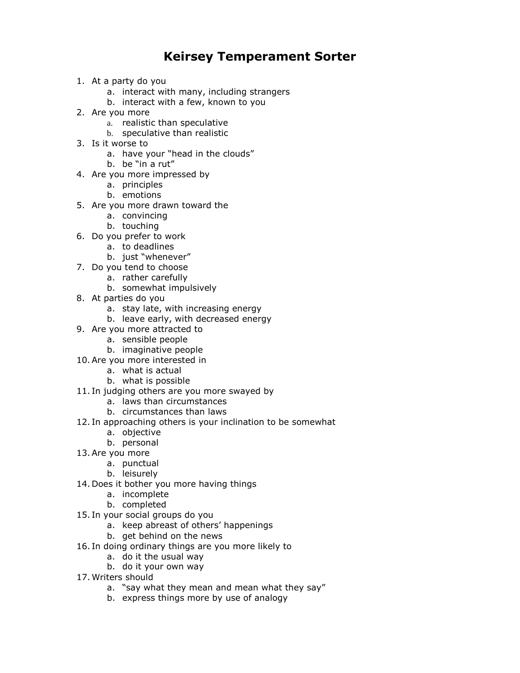## **Keirsey Temperament Sorter**

- 1. At a party do you
	- a. interact with many, including strangers
	- b. interact with a few, known to you
- 2. Are you more
	- a. realistic than speculative
	- b. speculative than realistic
- 3. Is it worse to
	- a. have your "head in the clouds"
	- b. be "in a rut"
- 4. Are you more impressed by
	- a. principles
	- b. emotions
- 5. Are you more drawn toward the
	- a. convincing
	- b. touching
- 6. Do you prefer to work
	- a. to deadlines
	- b. just "whenever"
- 7. Do you tend to choose
	- a. rather carefully
		- b. somewhat impulsively
- 8. At parties do you
	- a. stay late, with increasing energy
	- b. leave early, with decreased energy
- 9. Are you more attracted to
	- a. sensible people
- b. imaginative people
- 10.Are you more interested in
	- a. what is actual
	- b. what is possible
- 11. In judging others are you more swayed by
	- a. laws than circumstances
	- b. circumstances than laws
- 12. In approaching others is your inclination to be somewhat
	- a. objective
	- b. personal
- 13.Are you more
	- a. punctual
	- b. leisurely
- 14. Does it bother you more having things
	- a. incomplete
	- b. completed
- 15. In your social groups do you
	- a. keep abreast of others' happenings
	- b. get behind on the news
- 16. In doing ordinary things are you more likely to
	- a. do it the usual way
	- b. do it your own way
- 17. Writers should
	- a. "say what they mean and mean what they say"
	- b. express things more by use of analogy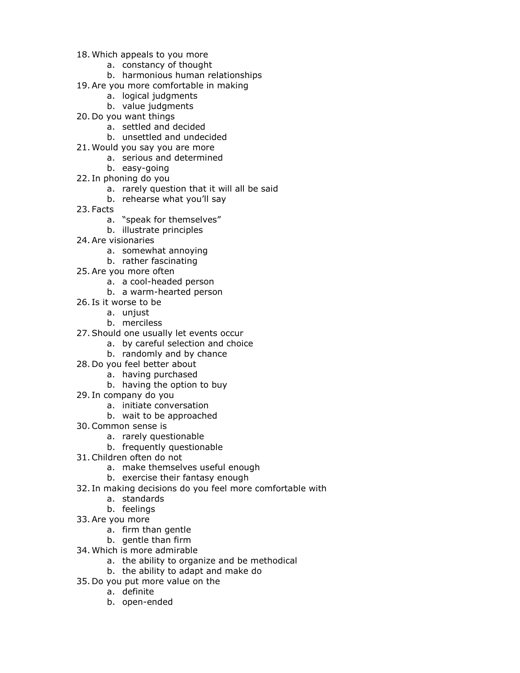- 18. Which appeals to you more
	- a. constancy of thought
	- b. harmonious human relationships
- 19.Are you more comfortable in making
	- a. logical judgments
	- b. value judgments
- 20. Do you want things
	- a. settled and decided
	- b. unsettled and undecided
- 21. Would you say you are more
	- a. serious and determined
	- b. easy-going
- 22. In phoning do you
	- a. rarely question that it will all be said
	- b. rehearse what you'll say
- 23. Facts
	- a. "speak for themselves"
	- b. illustrate principles
- 24.Are visionaries
	- a. somewhat annoying
	- b. rather fascinating
- 25.Are you more often
	- a. a cool-headed person
	- b. a warm-hearted person
- 26. Is it worse to be
	- a. uniust
	- b. merciless
- 27.Should one usually let events occur
	- a. by careful selection and choice
	- b. randomly and by chance
- 28. Do you feel better about
	- a. having purchased
	- b. having the option to buy
- 29. In company do you
	- a. initiate conversation
	- b. wait to be approached
- 30.Common sense is
	- a. rarely questionable
	- b. frequently questionable
- 31.Children often do not
	- a. make themselves useful enough
	- b. exercise their fantasy enough
- 32. In making decisions do you feel more comfortable with
	- a. standards
	- b. feelings
- 33.Are you more
	- a. firm than gentle
	- b. gentle than firm
- 34. Which is more admirable
	- a. the ability to organize and be methodical
	- b. the ability to adapt and make do
- 35. Do you put more value on the
	- a. definite
	- b. open-ended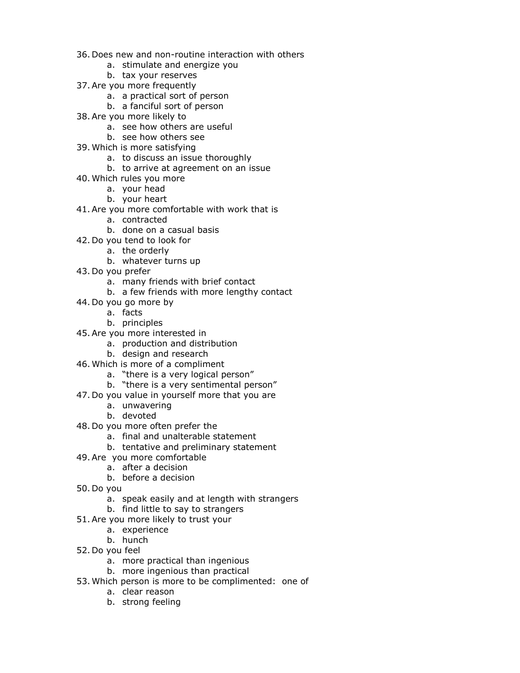- 36. Does new and non-routine interaction with others
	- a. stimulate and energize you
	- b. tax your reserves
- 37.Are you more frequently
	- a. a practical sort of person
	- b. a fanciful sort of person
- 38.Are you more likely to
	- a. see how others are useful
	- b. see how others see
- 39. Which is more satisfying
	- a. to discuss an issue thoroughly
	- b. to arrive at agreement on an issue
- 40. Which rules you more
	- a. your head
	- b. your heart
- 41.Are you more comfortable with work that is
	- a. contracted
	- b. done on a casual basis
- 42. Do you tend to look for
	- a. the orderly
		- b. whatever turns up
- 43. Do you prefer
	- a. many friends with brief contact
	- b. a few friends with more lengthy contact
- 44. Do you go more by
	- a. facts
	- b. principles
- 45.Are you more interested in
	- a. production and distribution
	- b. design and research
- 46. Which is more of a compliment
	- a. "there is a very logical person"
	- b. "there is a very sentimental person"
- 47. Do you value in yourself more that you are
	- a. unwavering
	- b. devoted
- 48. Do you more often prefer the
	- a. final and unalterable statement
	- b. tentative and preliminary statement
- 49.Are you more comfortable
	- a. after a decision
	- b. before a decision
- 50. Do you
	- a. speak easily and at length with strangers
	- b. find little to say to strangers
- 51.Are you more likely to trust your
	- a. experience
	- b. hunch
- 52. Do you feel
	- a. more practical than ingenious
	- b. more ingenious than practical
- 53. Which person is more to be complimented: one of
	- a. clear reason
	- b. strong feeling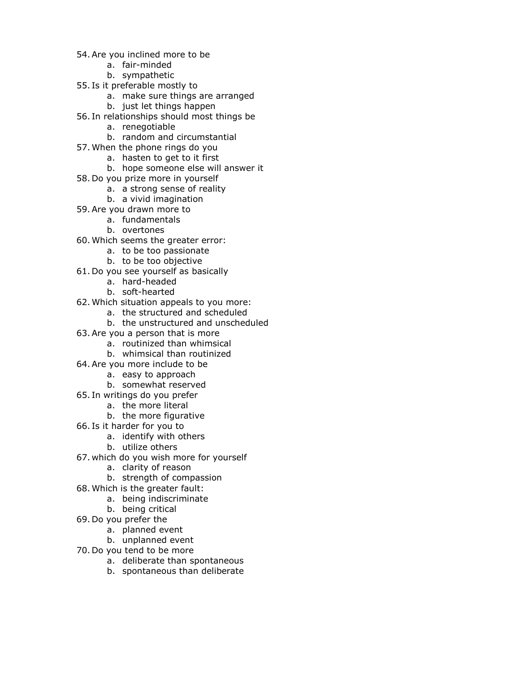- 54.Are you inclined more to be
	- a. fair-minded
	- b. sympathetic
- 55. Is it preferable mostly to
	- a. make sure things are arranged
	- b. just let things happen
- 56. In relationships should most things be
	- a. renegotiable
	- b. random and circumstantial
- 57. When the phone rings do you
	- a. hasten to get to it first
	- b. hope someone else will answer it
- 58. Do you prize more in yourself
	- a. a strong sense of reality
	- b. a vivid imagination
- 59.Are you drawn more to
	- a. fundamentals
	- b. overtones
- 60. Which seems the greater error:
	- a. to be too passionate
	- b. to be too objective
- 61. Do you see yourself as basically
	- a. hard-headed
	- b. soft-hearted
- 62. Which situation appeals to you more:
	- a. the structured and scheduled
	- b. the unstructured and unscheduled
- 63.Are you a person that is more
	- a. routinized than whimsical
	- b. whimsical than routinized
- 64.Are you more include to be
	- a. easy to approach
	- b. somewhat reserved
- 65. In writings do you prefer
	- a. the more literal
	- b. the more figurative
- 66. Is it harder for you to
	- a. identify with others
	- b. utilize others
- 67. which do you wish more for yourself
	- a. clarity of reason
	- b. strength of compassion
- 68. Which is the greater fault:
	- a. being indiscriminate
		- b. being critical
- 69. Do you prefer the
	- a. planned event
	- b. unplanned event
- 70. Do you tend to be more
	- a. deliberate than spontaneous
	- b. spontaneous than deliberate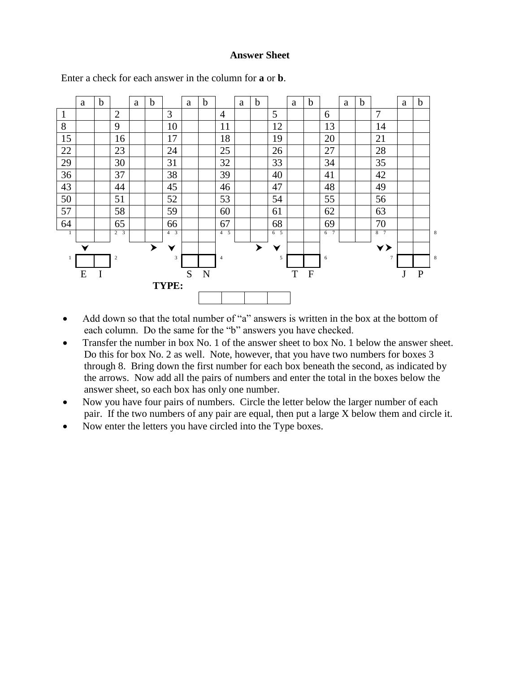## **Answer Sheet**



Enter a check for each answer in the column for **a** or **b**.

- Add down so that the total number of "a" answers is written in the box at the bottom of each column. Do the same for the "b" answers you have checked.
- Transfer the number in box No. 1 of the answer sheet to box No. 1 below the answer sheet. Do this for box No. 2 as well. Note, however, that you have two numbers for boxes 3 through 8. Bring down the first number for each box beneath the second, as indicated by the arrows. Now add all the pairs of numbers and enter the total in the boxes below the answer sheet, so each box has only one number.
- Now you have four pairs of numbers. Circle the letter below the larger number of each pair. If the two numbers of any pair are equal, then put a large X below them and circle it.
- Now enter the letters you have circled into the Type boxes.